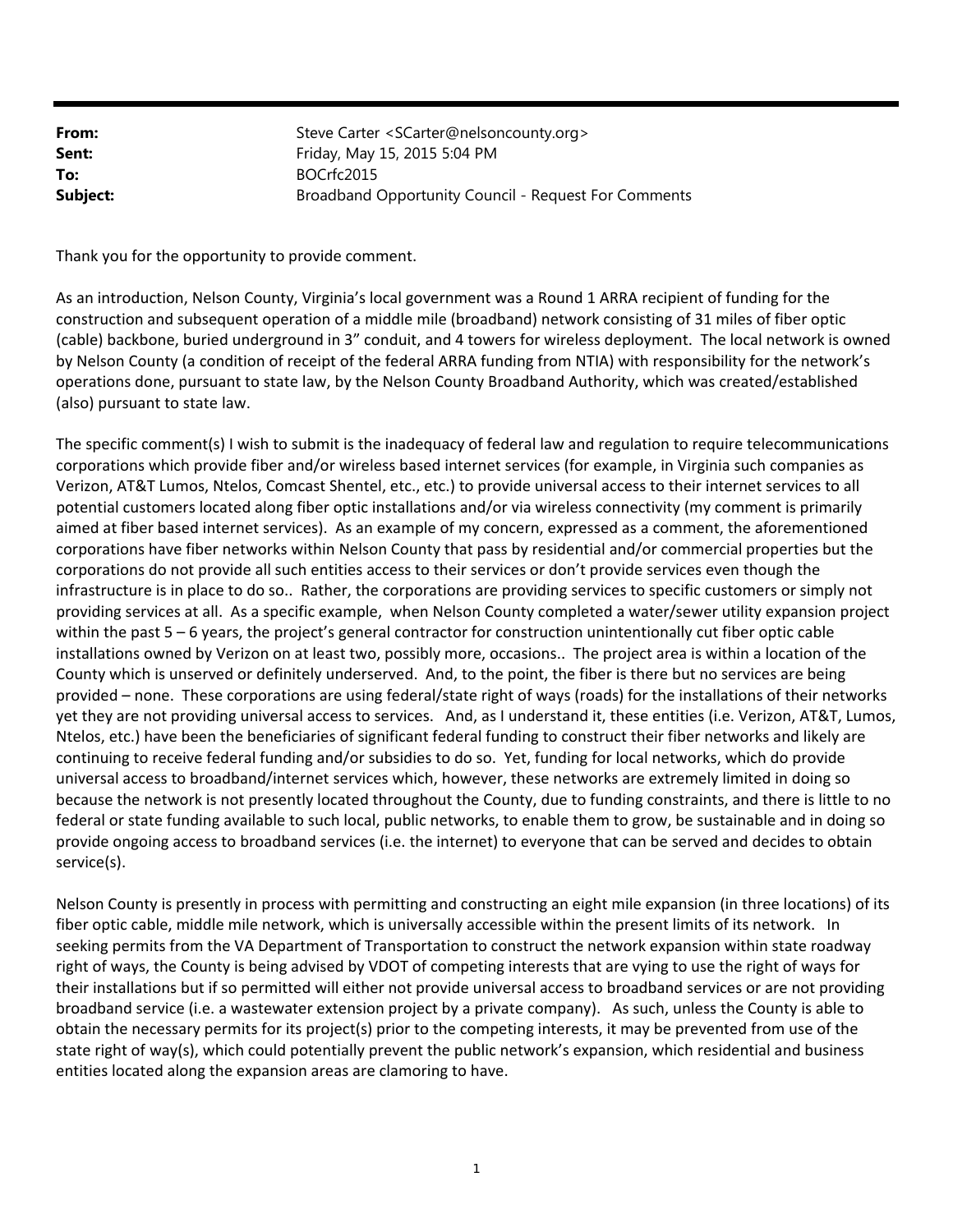| From:    | Steve Carter <scarter@nelsoncounty.org></scarter@nelsoncounty.org> |
|----------|--------------------------------------------------------------------|
| Sent:    | Friday, May 15, 2015 5:04 PM                                       |
| To:      | BOCrfc2015                                                         |
| Subject: | Broadband Opportunity Council - Request For Comments               |

Thank you for the opportunity to provide comment.

As an introduction, Nelson County, Virginia's local government was a Round 1 ARRA recipient of funding for the construction and subsequent operation of a middle mile (broadband) network consisting of 31 miles of fiber optic (cable) backbone, buried underground in 3" conduit, and 4 towers for wireless deployment. The local network is owned by Nelson County (a condition of receipt of the federal ARRA funding from NTIA) with responsibility for the network's operations done, pursuant to state law, by the Nelson County Broadband Authority, which was created/established (also) pursuant to state law.

The specific comment(s) I wish to submit is the inadequacy of federal law and regulation to require telecommunications corporations which provide fiber and/or wireless based internet services (for example, in Virginia such companies as Verizon, AT&T Lumos, Ntelos, Comcast Shentel, etc., etc.) to provide universal access to their internet services to all potential customers located along fiber optic installations and/or via wireless connectivity (my comment is primarily aimed at fiber based internet services). As an example of my concern, expressed as a comment, the aforementioned corporations have fiber networks within Nelson County that pass by residential and/or commercial properties but the corporations do not provide all such entities access to their services or don't provide services even though the infrastructure is in place to do so.. Rather, the corporations are providing services to specific customers or simply not providing services at all. As a specific example, when Nelson County completed a water/sewer utility expansion project within the past 5 – 6 years, the project's general contractor for construction unintentionally cut fiber optic cable installations owned by Verizon on at least two, possibly more, occasions.. The project area is within a location of the County which is unserved or definitely underserved. And, to the point, the fiber is there but no services are being provided – none. These corporations are using federal/state right of ways (roads) for the installations of their networks yet they are not providing universal access to services. And, as I understand it, these entities (i.e. Verizon, AT&T, Lumos, Ntelos, etc.) have been the beneficiaries of significant federal funding to construct their fiber networks and likely are continuing to receive federal funding and/or subsidies to do so. Yet, funding for local networks, which do provide universal access to broadband/internet services which, however, these networks are extremely limited in doing so because the network is not presently located throughout the County, due to funding constraints, and there is little to no federal or state funding available to such local, public networks, to enable them to grow, be sustainable and in doing so provide ongoing access to broadband services (i.e. the internet) to everyone that can be served and decides to obtain service(s).

Nelson County is presently in process with permitting and constructing an eight mile expansion (in three locations) of its fiber optic cable, middle mile network, which is universally accessible within the present limits of its network. In seeking permits from the VA Department of Transportation to construct the network expansion within state roadway right of ways, the County is being advised by VDOT of competing interests that are vying to use the right of ways for their installations but if so permitted will either not provide universal access to broadband services or are not providing broadband service (i.e. a wastewater extension project by a private company). As such, unless the County is able to obtain the necessary permits for its project(s) prior to the competing interests, it may be prevented from use of the state right of way(s), which could potentially prevent the public network's expansion, which residential and business entities located along the expansion areas are clamoring to have.